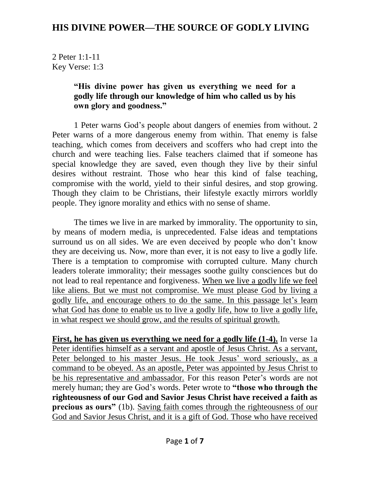2 Peter 1:1-11 Key Verse: 1:3

#### **"His divine power has given us everything we need for a godly life through our knowledge of him who called us by his own glory and goodness."**

1 Peter warns God's people about dangers of enemies from without. 2 Peter warns of a more dangerous enemy from within. That enemy is false teaching, which comes from deceivers and scoffers who had crept into the church and were teaching lies. False teachers claimed that if someone has special knowledge they are saved, even though they live by their sinful desires without restraint. Those who hear this kind of false teaching, compromise with the world, yield to their sinful desires, and stop growing. Though they claim to be Christians, their lifestyle exactly mirrors worldly people. They ignore morality and ethics with no sense of shame.

The times we live in are marked by immorality. The opportunity to sin, by means of modern media, is unprecedented. False ideas and temptations surround us on all sides. We are even deceived by people who don't know they are deceiving us. Now, more than ever, it is not easy to live a godly life. There is a temptation to compromise with corrupted culture. Many church leaders tolerate immorality; their messages soothe guilty consciences but do not lead to real repentance and forgiveness. When we live a godly life we feel like aliens. But we must not compromise. We must please God by living a godly life, and encourage others to do the same. In this passage let's learn what God has done to enable us to live a godly life, how to live a godly life, in what respect we should grow, and the results of spiritual growth.

**First, he has given us everything we need for a godly life (1-4).** In verse 1a Peter identifies himself as a servant and apostle of Jesus Christ. As a servant, Peter belonged to his master Jesus. He took Jesus' word seriously, as a command to be obeyed. As an apostle, Peter was appointed by Jesus Christ to be his representative and ambassador. For this reason Peter's words are not merely human; they are God's words. Peter wrote to **"those who through the righteousness of our God and Savior Jesus Christ have received a faith as precious as ours"** (1b). Saving faith comes through the righteousness of our God and Savior Jesus Christ, and it is a gift of God. Those who have received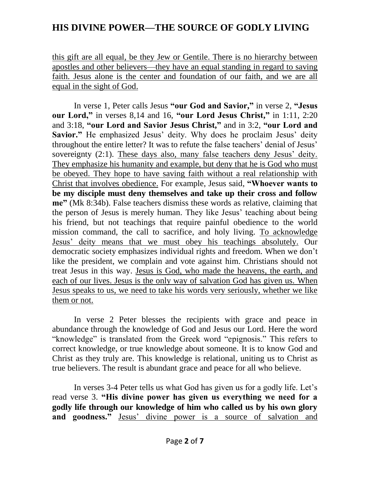this gift are all equal, be they Jew or Gentile. There is no hierarchy between apostles and other believers—they have an equal standing in regard to saving faith. Jesus alone is the center and foundation of our faith, and we are all equal in the sight of God.

In verse 1, Peter calls Jesus **"our God and Savior, "** in verse 2, **"Jesus our Lord,"** in verses 8,14 and 16, **"our Lord Jesus Christ, "** in 1:11, 2:20 and 3:18, **"our Lord and Savior Jesus Christ,"** and in 3:2, **"our Lord and Savior."** He emphasized Jesus' deity. Why does he proclaim Jesus' deity throughout the entire letter? It was to refute the false teachers' denial of Jesus' sovereignty (2:1). These days also, many false teachers deny Jesus' deity. They emphasize his humanity and example, but deny that he is God who must be obeyed. They hope to have saving faith without a real relationship with Christ that involves obedience. For example, Jesus said, **"Whoever wants to be my disciple must deny themselves and take up their cross and follow me"** (Mk 8:34b). False teachers dismiss these words as relative, claiming that the person of Jesus is merely human. They like Jesus' teaching about being his friend, but not teachings that require painful obedience to the world mission command, the call to sacrifice, and holy living. To acknowledge Jesus' deity means that we must obey his teachings absolutely. Our democratic society emphasizes individual rights and freedom. When we don't like the president, we complain and vote against him. Christians should not treat Jesus in this way. Jesus is God, who made the heavens, the earth, and each of our lives. Jesus is the only way of salvation God has given us. When Jesus speaks to us, we need to take his words very seriously, whether we like them or not.

In verse 2 Peter blesses the recipients with grace and peace in abundance through the knowledge of God and Jesus our Lord. Here the word "knowledge" is translated from the Greek word "epignosis." This refers to correct knowledge, or true knowledge about someone. It is to know God and Christ as they truly are. This knowledge is relational, uniting us to Christ as true believers. The result is abundant grace and peace for all who believe.

In verses 3-4 Peter tells us what God has given us for a godly life. Let's read verse 3. **"His divine power has given us everything we need for a godly life through our knowledge of him who called us by his own glory and goodness."** Jesus' divine power is a source of salvation and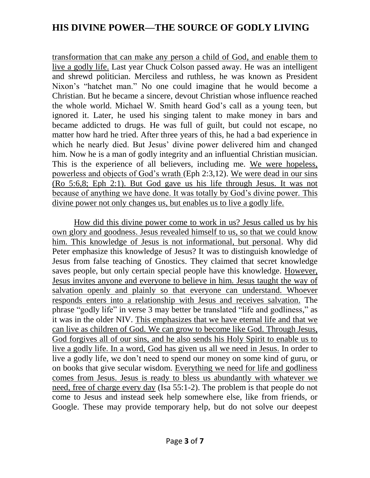transformation that can make any person a child of God, and enable them to live a godly life. Last year Chuck Colson passed away. He was an intelligent and shrewd politician. Merciless and ruthless, he was known as President Nixon's "hatchet man." No one could imagine that he would become a Christian. But he became a sincere, devout Christian whose influence reached the whole world. Michael W. Smith heard God's call as a young teen, but ignored it. Later, he used his singing talent to make money in bars and became addicted to drugs. He was full of guilt, but could not escape, no matter how hard he tried. After three years of this, he had a bad experience in which he nearly died. But Jesus' divine power delivered him and changed him. Now he is a man of godly integrity and an influential Christian musician. This is the experience of all believers, including me. We were hopeless, powerless and objects of God's wrath (Eph 2:3,12). We were dead in our sins (Ro 5:6,8; Eph 2:1). But God gave us his life through Jesus. It was not because of anything we have done. It was totally by God's divine power. This divine power not only changes us, but enables us to live a godly life.

How did this divine power come to work in us? Jesus called us by his own glory and goodness. Jesus revealed himself to us, so that we could know him. This knowledge of Jesus is not informational, but personal. Why did Peter emphasize this knowledge of Jesus? It was to distinguish knowledge of Jesus from false teaching of Gnostics. They claimed that secret knowledge saves people, but only certain special people have this knowledge. However, Jesus invites anyone and everyone to believe in him. Jesus taught the way of salvation openly and plainly so that everyone can understand. Whoever responds enters into a relationship with Jesus and receives salvation. The phrase "godly life" in verse 3 may better be translated "life and godliness," as it was in the older NIV. This emphasizes that we have eternal life and that we can live as children of God. We can grow to become like God. Through Jesus, God forgives all of our sins, and he also sends his Holy Spirit to enable us to live a godly life. In a word, God has given us all we need in Jesus. In order to live a godly life, we don't need to spend our money on some kind of guru, or on books that give secular wisdom. Everything we need for life and godliness comes from Jesus. Jesus is ready to bless us abundantly with whatever we need, free of charge every day (Isa 55:1-2). The problem is that people do not come to Jesus and instead seek help somewhere else, like from friends, or Google. These may provide temporary help, but do not solve our deepest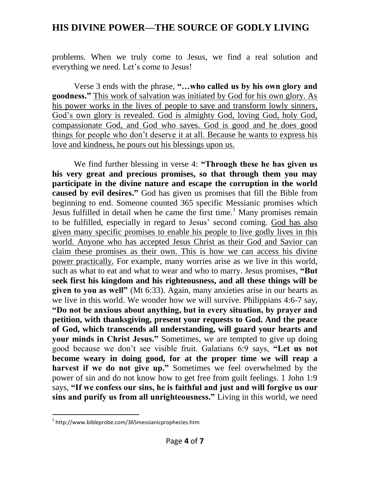problems. When we truly come to Jesus, we find a real solution and everything we need. Let's come to Jesus!

Verse 3 ends with the phrase, **"…who called us by his own glory and goodness."** This work of salvation was initiated by God for his own glory. As his power works in the lives of people to save and transform lowly sinners, God's own glory is revealed. God is almighty God, loving God, holy God, compassionate God, and God who saves. God is good and he does good things for people who don't deserve it at all. Because he wants to express his love and kindness, he pours out his blessings upon us.

We find further blessing in verse 4: **"Through these he has given us his very great and precious promises, so that through them you may participate in the divine nature and escape the corruption in the world caused by evil desires."** God has given us promises that fill the Bible from beginning to end. Someone counted 365 specific Messianic promises which Jesus fulfilled in detail when he came the first time.<sup>1</sup> Many promises remain to be fulfilled, especially in regard to Jesus' second coming. God has also given many specific promises to enable his people to live godly lives in this world. Anyone who has accepted Jesus Christ as their God and Savior can claim these promises as their own. This is how we can access his divine power practically. For example, many worries arise as we live in this world, such as what to eat and what to wear and who to marry. Jesus promises, **"But seek first his kingdom and his righteousness, and all these things will be given to you as well"** (Mt 6:33). Again, many anxieties arise in our hearts as we live in this world. We wonder how we will survive. Philippians 4:6-7 say, **"Do not be anxious about anything, but in every situation, by prayer and petition, with thanksgiving, present your requests to God. And the peace of God, which transcends all understanding, will guard your hearts and your minds in Christ Jesus."** Sometimes, we are tempted to give up doing good because we don't see visible fruit. Galatians 6:9 says, **"Let us not become weary in doing good, for at the proper time we will reap a harvest if we do not give up."** Sometimes we feel overwhelmed by the power of sin and do not know how to get free from guilt feelings. 1 John 1:9 says, **"If we confess our sins, he is faithful and just and will forgive us our sins and purify us from all unrighteousness."** Living in this world, we need

 $\overline{a}$ 

<sup>1</sup> http://www.bibleprobe.com/365messianicprophecies.htm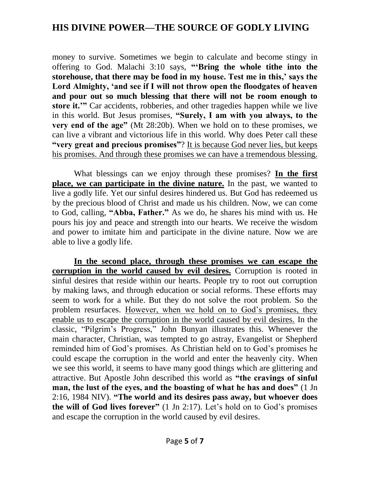money to survive. Sometimes we begin to calculate and become stingy in offering to God. Malachi 3:10 says, **"'Bring the whole tithe into the storehouse, that there may be food in my house. Test me in this,' says the Lord Almighty, 'and see if I will not throw open the floodgates of heaven and pour out so much blessing that there will not be room enough to store it.'"** Car accidents, robberies, and other tragedies happen while we live in this world. But Jesus promises, **"Surely, I am with you always, to the very end of the age"** (Mt 28:20b). When we hold on to these promises, we can live a vibrant and victorious life in this world. Why does Peter call these **"very great and precious promises"**? It is because God never lies, but keeps his promises. And through these promises we can have a tremendous blessing.

What blessings can we enjoy through these promises? **In the first place, we can participate in the divine nature.** In the past, we wanted to live a godly life. Yet our sinful desires hindered us. But God has redeemed us by the precious blood of Christ and made us his children. Now, we can come to God, calling, **"Abba, Father."** As we do, he shares his mind with us. He pours his joy and peace and strength into our hearts. We receive the wisdom and power to imitate him and participate in the divine nature. Now we are able to live a godly life.

**In the second place, through these promises we can escape the corruption in the world caused by evil desires.** Corruption is rooted in sinful desires that reside within our hearts. People try to root out corruption by making laws, and through education or social reforms. These efforts may seem to work for a while. But they do not solve the root problem. So the problem resurfaces. However, when we hold on to God's promises, they enable us to escape the corruption in the world caused by evil desires. In the classic, "Pilgrim's Progress," John Bunyan illustrates this. Whenever the main character, Christian, was tempted to go astray, Evangelist or Shepherd reminded him of God's promises. As Christian held on to God's promises he could escape the corruption in the world and enter the heavenly city. When we see this world, it seems to have many good things which are glittering and attractive. But Apostle John described this world as **"the cravings of sinful man, the lust of the eyes, and the boasting of what he has and does"** (1 Jn 2:16, 1984 NIV). **"The world and its desires pass away, but whoever does the will of God lives forever"** (1 Jn 2:17). Let's hold on to God's promises and escape the corruption in the world caused by evil desires.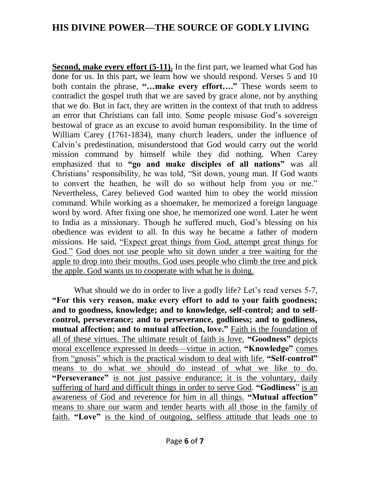**Second, make every effort (5-11).** In the first part, we learned what God has done for us. In this part, we learn how we should respond. Verses 5 and 10 both contain the phrase, **"…make every effort…."** These words seem to contradict the gospel truth that we are saved by grace alone, not by anything that we do. But in fact, they are written in the context of that truth to address an error that Christians can fall into. Some people misuse God's sovereign bestowal of grace as an excuse to avoid human responsibility. In the time of William Carey (1761-1834), many church leaders, under the influence of Calvin's predestination, misunderstood that God would carry out the world mission command by himself while they did nothing. When Carey emphasized that to **"go and make disciples of all nations"** was all Christians' responsibility, he was told, "Sit down, young man. If God wants to convert the heathen, he will do so without help from you or me." Nevertheless, Carey believed God wanted him to obey the world mission command. While working as a shoemaker, he memorized a foreign language word by word. After fixing one shoe, he memorized one word. Later he went to India as a missionary. Though he suffered much, God's blessing on his obedience was evident to all. In this way he became a father of modern missions. He said, "Expect great things from God, attempt great things for God." God does not use people who sit down under a tree waiting for the apple to drop into their mouths. God uses people who climb the tree and pick the apple. God wants us to cooperate with what he is doing.

What should we do in order to live a godly life? Let's read verses 5-7, **"For this very reason, make every effort to add to your faith goodness; and to goodness, knowledge; and to knowledge, self-control; and to selfcontrol, perseverance; and to perseverance, godliness; and to godliness, mutual affection; and to mutual affection, love."** Faith is the foundation of all of these virtues. The ultimate result of faith is love. **"Goodness"** depicts moral excellence expressed in deeds—virtue in action. **"Knowledge"** comes from "gnosis" which is the practical wisdom to deal with life. **"Self-control"** means to do what we should do instead of what we like to do. **"Perseverance"** is not just passive endurance; it is the voluntary, daily suffering of hard and difficult things in order to serve God. **"Godliness**" is an awareness of God and reverence for him in all things. **"Mutual affection"** means to share our warm and tender hearts with all those in the family of faith. **"Love"** is the kind of outgoing, selfless attitude that leads one to